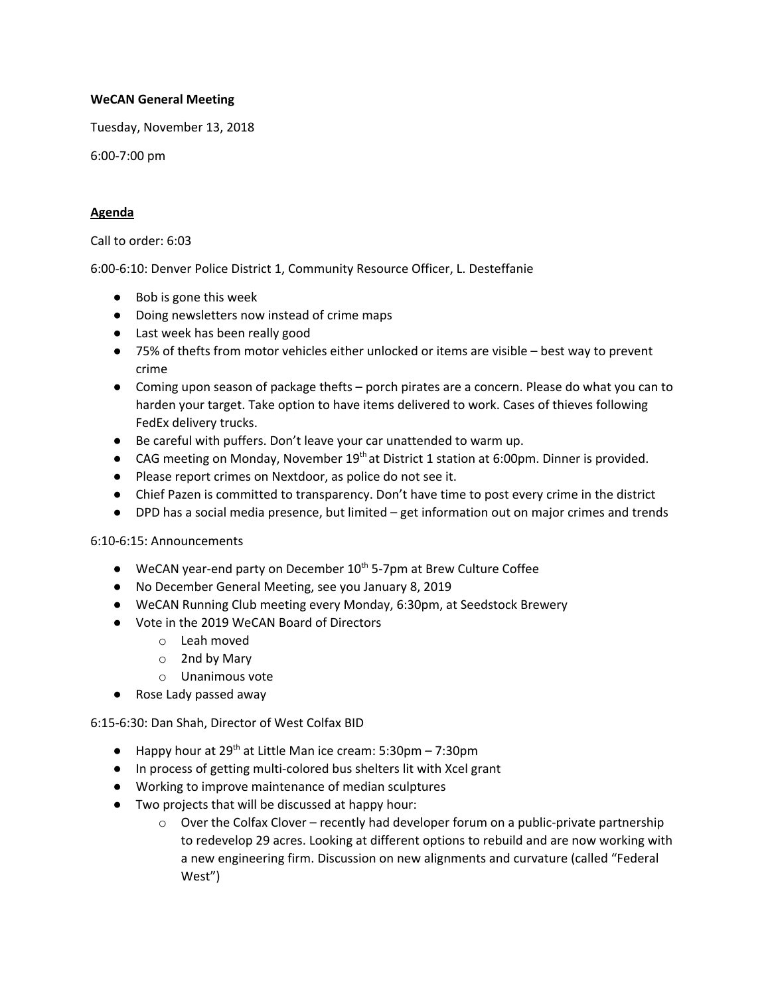## **WeCAN General Meeting**

Tuesday, November 13, 2018

6:00-7:00 pm

## **Agenda**

Call to order: 6:03

6:00-6:10: Denver Police District 1, Community Resource Officer, L. Desteffanie

- Bob is gone this week
- Doing newsletters now instead of crime maps
- Last week has been really good
- 75% of thefts from motor vehicles either unlocked or items are visible best way to prevent crime
- Coming upon season of package thefts porch pirates are a concern. Please do what you can to harden your target. Take option to have items delivered to work. Cases of thieves following FedEx delivery trucks.
- Be careful with puffers. Don't leave your car unattended to warm up.
- CAG meeting on Monday, November 19<sup>th</sup> at District 1 station at 6:00pm. Dinner is provided.
- Please report crimes on Nextdoor, as police do not see it.
- Chief Pazen is committed to transparency. Don't have time to post every crime in the district
- DPD has a social media presence, but limited get information out on major crimes and trends

6:10-6:15: Announcements

- $\bullet$  WeCAN year-end party on December 10<sup>th</sup> 5-7pm at Brew Culture Coffee
- No December General Meeting, see you January 8, 2019
- WeCAN Running Club meeting every Monday, 6:30pm, at Seedstock Brewery
- Vote in the 2019 WeCAN Board of Directors
	- o Leah moved
	- o 2nd by Mary
	- o Unanimous vote
- Rose Lady passed away

6:15-6:30: Dan Shah, Director of West Colfax BID

- $\bullet$  Happy hour at 29<sup>th</sup> at Little Man ice cream: 5:30pm 7:30pm
- In process of getting multi-colored bus shelters lit with Xcel grant
- Working to improve maintenance of median sculptures
- Two projects that will be discussed at happy hour:
	- $\circ$  Over the Colfax Clover recently had developer forum on a public-private partnership to redevelop 29 acres. Looking at different options to rebuild and are now working with a new engineering firm. Discussion on new alignments and curvature (called "Federal West")